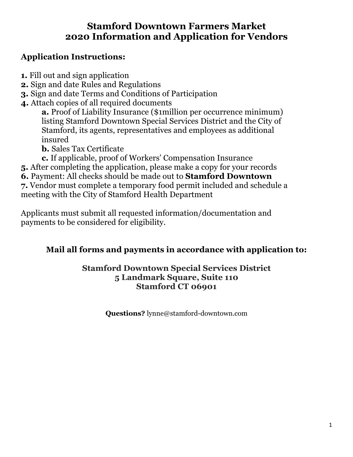# **Stamford Downtown Farmers Market 2020 Information and Application for Vendors**

# **Application Instructions:**

- **1.** Fill out and sign application
- **2.** Sign and date Rules and Regulations
- **3.** Sign and date Terms and Conditions of Participation
- **4.** Attach copies of all required documents
	- **a.** Proof of Liability Insurance (\$1million per occurrence minimum) listing Stamford Downtown Special Services District and the City of Stamford, its agents, representatives and employees as additional insured

**b.** Sales Tax Certificate

- **c.** If applicable, proof of Workers' Compensation Insurance
- **5.** After completing the application, please make a copy for your records
- **6.** Payment: All checks should be made out to **Stamford Downtown**

**7.** Vendor must complete a temporary food permit included and schedule a meeting with the City of Stamford Health Department

Applicants must submit all requested information/documentation and payments to be considered for eligibility.

# **Mail all forms and payments in accordance with application to:**

# **Stamford Downtown Special Services District 5 Landmark Square, Suite 110 Stamford CT 06901**

**Questions?** lynne@stamford-downtown.com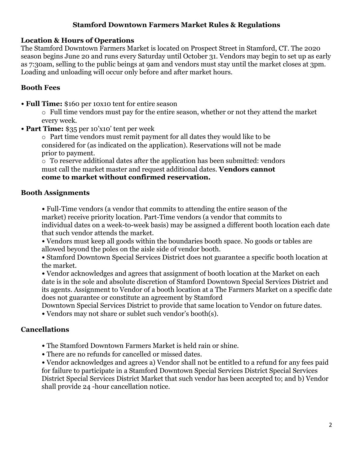## **Stamford Downtown Farmers Market Rules & Regulations**

#### **Location & Hours of Operations**

The Stamford Downtown Farmers Market is located on Prospect Street in Stamford, CT. The 2020 season begins June 20 and runs every Saturday until October 31. Vendors may begin to set up as early as 7:30am, selling to the public beings at 9am and vendors must stay until the market closes at 3pm. Loading and unloading will occur only before and after market hours.

## **Booth Fees**

• **Full Time:** \$160 per 10x10 tent for entire season

o Full time vendors must pay for the entire season, whether or not they attend the market every week.

• **Part Time:** \$35 per 10'x10' tent per week

o Part time vendors must remit payment for all dates they would like to be considered for (as indicated on the application). Reservations will not be made prior to payment.

o To reserve additional dates after the application has been submitted: vendors must call the market master and request additional dates. **Vendors cannot come to market without confirmed reservation.**

## **Booth Assignments**

• Full-Time vendors (a vendor that commits to attending the entire season of the market) receive priority location. Part-Time vendors (a vendor that commits to individual dates on a week-to-week basis) may be assigned a different booth location each date that such vendor attends the market.

• Vendors must keep all goods within the boundaries booth space. No goods or tables are allowed beyond the poles on the aisle side of vendor booth.

• Stamford Downtown Special Services District does not guarantee a specific booth location at the market.

• Vendor acknowledges and agrees that assignment of booth location at the Market on each date is in the sole and absolute discretion of Stamford Downtown Special Services District and its agents. Assignment to Vendor of a booth location at a The Farmers Market on a specific date does not guarantee or constitute an agreement by Stamford

Downtown Special Services District to provide that same location to Vendor on future dates. • Vendors may not share or sublet such vendor's booth(s).

## **Cancellations**

• The Stamford Downtown Farmers Market is held rain or shine.

• There are no refunds for cancelled or missed dates.

• Vendor acknowledges and agrees a) Vendor shall not be entitled to a refund for any fees paid for failure to participate in a Stamford Downtown Special Services District Special Services District Special Services District Market that such vendor has been accepted to; and b) Vendor shall provide 24 -hour cancellation notice.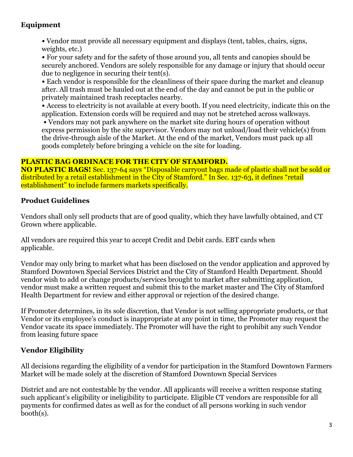# **Equipment**

• Vendor must provide all necessary equipment and displays (tent, tables, chairs, signs, weights, etc.)

• For your safety and for the safety of those around you, all tents and canopies should be securely anchored. Vendors are solely responsible for any damage or injury that should occur due to negligence in securing their tent(s).

• Each vendor is responsible for the cleanliness of their space during the market and cleanup after. All trash must be hauled out at the end of the day and cannot be put in the public or privately maintained trash receptacles nearby.

• Access to electricity is not available at every booth. If you need electricity, indicate this on the application. Extension cords will be required and may not be stretched across walkways.

• Vendors may not park anywhere on the market site during hours of operation without express permission by the site supervisor. Vendors may not unload/load their vehicle(s) from the drive-through aisle of the Market. At the end of the market, Vendors must pack up all goods completely before bringing a vehicle on the site for loading.

#### **PLASTIC BAG ORDINACE FOR THE CITY OF STAMFORD.**

**NO PLASTIC BAGS!** Sec. 137-64 says "Disposable carryout bags made of plastic shall not be sold or distributed by a retail establishment in the City of Stamford." In Sec. 137-63, it defines "retail establishment" to include farmers markets specifically.

## **Product Guidelines**

Vendors shall only sell products that are of good quality, which they have lawfully obtained, and CT Grown where applicable.

All vendors are required this year to accept Credit and Debit cards. EBT cards when applicable.

Vendor may only bring to market what has been disclosed on the vendor application and approved by Stamford Downtown Special Services District and the City of Stamford Health Department. Should vendor wish to add or change products/services brought to market after submitting application, vendor must make a written request and submit this to the market master and The City of Stamford Health Department for review and either approval or rejection of the desired change.

If Promoter determines, in its sole discretion, that Vendor is not selling appropriate products, or that Vendor or its employee's conduct is inappropriate at any point in time, the Promoter may request the Vendor vacate its space immediately. The Promoter will have the right to prohibit any such Vendor from leasing future space

# **Vendor Eligibility**

All decisions regarding the eligibility of a vendor for participation in the Stamford Downtown Farmers Market will be made solely at the discretion of Stamford Downtown Special Services

District and are not contestable by the vendor. All applicants will receive a written response stating such applicant's eligibility or ineligibility to participate. Eligible CT vendors are responsible for all payments for confirmed dates as well as for the conduct of all persons working in such vendor booth(s).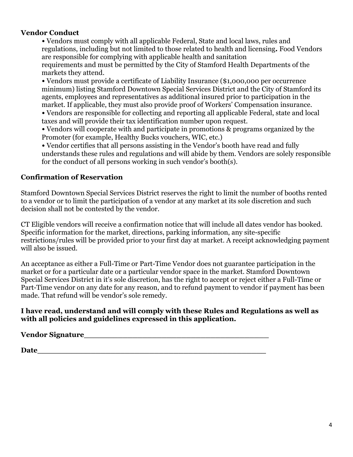#### **Vendor Conduct**

• Vendors must comply with all applicable Federal, State and local laws, rules and regulations, including but not limited to those related to health and licensing**.** Food Vendors are responsible for complying with applicable health and sanitation requirements and must be permitted by the City of Stamford Health Departments of the markets they attend.

• Vendors must provide a certificate of Liability Insurance (\$1,000,000 per occurrence minimum) listing Stamford Downtown Special Services District and the City of Stamford its agents, employees and representatives as additional insured prior to participation in the market. If applicable, they must also provide proof of Workers' Compensation insurance.

• Vendors are responsible for collecting and reporting all applicable Federal, state and local taxes and will provide their tax identification number upon request.

• Vendors will cooperate with and participate in promotions & programs organized by the Promoter (for example, Healthy Bucks vouchers, WIC, etc.)

• Vendor certifies that all persons assisting in the Vendor's booth have read and fully understands these rules and regulations and will abide by them. Vendors are solely responsible for the conduct of all persons working in such vendor's booth(s).

# **Confirmation of Reservation**

Stamford Downtown Special Services District reserves the right to limit the number of booths rented to a vendor or to limit the participation of a vendor at any market at its sole discretion and such decision shall not be contested by the vendor.

CT Eligible vendors will receive a confirmation notice that will include all dates vendor has booked. Specific information for the market, directions, parking information, any site-specific restrictions/rules will be provided prior to your first day at market. A receipt acknowledging payment will also be issued.

An acceptance as either a Full-Time or Part-Time Vendor does not guarantee participation in the market or for a particular date or a particular vendor space in the market. Stamford Downtown Special Services District in it's sole discretion, has the right to accept or reject either a Full-Time or Part-Time vendor on any date for any reason, and to refund payment to vendor if payment has been made. That refund will be vendor's sole remedy.

#### **I have read, understand and will comply with these Rules and Regulations as well as with all policies and guidelines expressed in this application.**

## **Vendor Signature\_\_\_\_\_\_\_\_\_\_\_\_\_\_\_\_\_\_\_\_\_\_\_\_\_\_\_\_\_\_\_\_\_\_\_\_\_\_**

**Date**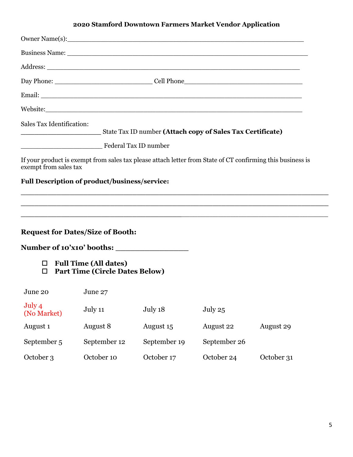# **2020 Stamford Downtown Farmers Market Vendor Application**

|                                                                                                                  |                                                                       | Owner Name(s):                                                                                                                                                                                                                 |              |                                                             |
|------------------------------------------------------------------------------------------------------------------|-----------------------------------------------------------------------|--------------------------------------------------------------------------------------------------------------------------------------------------------------------------------------------------------------------------------|--------------|-------------------------------------------------------------|
|                                                                                                                  |                                                                       | Business Name: Name: Name: Name: Name: Name: Name: Name: Name: Name: Name: Name: Name: Name: Name: Name: Name: Name: Name: Name: Name: Name: Name: Name: Name: Name: Name: Name: Name: Name: Name: Name: Name: Name: Name: Nam |              |                                                             |
|                                                                                                                  |                                                                       |                                                                                                                                                                                                                                |              |                                                             |
|                                                                                                                  |                                                                       |                                                                                                                                                                                                                                |              |                                                             |
|                                                                                                                  |                                                                       |                                                                                                                                                                                                                                |              |                                                             |
|                                                                                                                  |                                                                       |                                                                                                                                                                                                                                |              |                                                             |
| Sales Tax Identification:<br>State Tax ID number (Attach copy of Sales Tax Certificate)<br>Federal Tax ID number |                                                                       |                                                                                                                                                                                                                                |              |                                                             |
| exempt from sales tax<br><b>Full Description of product/business/service:</b>                                    |                                                                       | If your product is exempt from sales tax please attach letter from State of CT confirming this business is                                                                                                                     |              | <u> 1989 - Johann Stoff, amerikansk politiker (d. 1989)</u> |
| <b>Request for Dates/Size of Booth:</b>                                                                          |                                                                       | <u> 1989 - Johann Stoff, amerikansk politiker (d. 1989)</u>                                                                                                                                                                    |              |                                                             |
|                                                                                                                  |                                                                       |                                                                                                                                                                                                                                |              |                                                             |
| $\Box$<br>$\Box$                                                                                                 | <b>Full Time (All dates)</b><br><b>Part Time (Circle Dates Below)</b> |                                                                                                                                                                                                                                |              |                                                             |
| June 20 June 27                                                                                                  |                                                                       |                                                                                                                                                                                                                                |              |                                                             |
| July 4<br>(No Market)                                                                                            | July 11                                                               | July 18                                                                                                                                                                                                                        | July 25      |                                                             |
| August <sub>1</sub>                                                                                              | August 8                                                              | August 15                                                                                                                                                                                                                      | August 22    | August 29                                                   |
| September 5                                                                                                      | September 12                                                          | September 19                                                                                                                                                                                                                   | September 26 |                                                             |
| October 3                                                                                                        | October 10                                                            | October 17                                                                                                                                                                                                                     | October 24   | October 31                                                  |